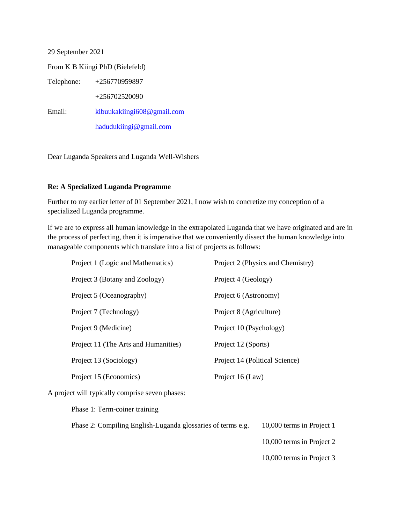29 September 2021

From K B Kiingi PhD (Bielefeld)

Telephone: +256770959897

+256702520090

Email: [kibuukakiingi608@gmail.com](mailto:kibuukakiingi608@gmail.com)

[hadudukiingi@gmail.com](mailto:hadudukiingi@gmail.com)

Dear Luganda Speakers and Luganda Well-Wishers

## **Re: A Specialized Luganda Programme**

Further to my earlier letter of 01 September 2021, I now wish to concretize my conception of a specialized Luganda programme.

If we are to express all human knowledge in the extrapolated Luganda that we have originated and are in the process of perfecting, then it is imperative that we conveniently dissect the human knowledge into manageable components which translate into a list of projects as follows:

| Project 1 (Logic and Mathematics)    | Project 2 (Physics and Chemistry) |
|--------------------------------------|-----------------------------------|
| Project 3 (Botany and Zoology)       | Project 4 (Geology)               |
| Project 5 (Oceanography)             | Project 6 (Astronomy)             |
| Project 7 (Technology)               | Project 8 (Agriculture)           |
| Project 9 (Medicine)                 | Project 10 (Psychology)           |
| Project 11 (The Arts and Humanities) | Project 12 (Sports)               |
| Project 13 (Sociology)               | Project 14 (Political Science)    |
| Project 15 (Economics)               | Project 16 (Law)                  |

A project will typically comprise seven phases:

Phase 1: Term-coiner training

Phase 2: Compiling English-Luganda glossaries of terms e.g. 10,000 terms in Project 1

10,000 terms in Project 2

10,000 terms in Project 3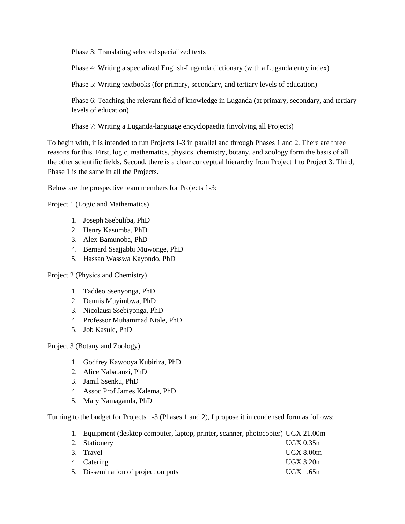Phase 3: Translating selected specialized texts

Phase 4: Writing a specialized English-Luganda dictionary (with a Luganda entry index)

Phase 5: Writing textbooks (for primary, secondary, and tertiary levels of education)

Phase 6: Teaching the relevant field of knowledge in Luganda (at primary, secondary, and tertiary levels of education)

Phase 7: Writing a Luganda-language encyclopaedia (involving all Projects)

To begin with, it is intended to run Projects 1-3 in parallel and through Phases 1 and 2. There are three reasons for this. First, logic, mathematics, physics, chemistry, botany, and zoology form the basis of all the other scientific fields. Second, there is a clear conceptual hierarchy from Project 1 to Project 3. Third, Phase 1 is the same in all the Projects.

Below are the prospective team members for Projects 1-3:

Project 1 (Logic and Mathematics)

- 1. Joseph Ssebuliba, PhD
- 2. Henry Kasumba, PhD
- 3. Alex Bamunoba, PhD
- 4. Bernard Ssajjabbi Muwonge, PhD
- 5. Hassan Wasswa Kayondo, PhD

Project 2 (Physics and Chemistry)

- 1. Taddeo Ssenyonga, PhD
- 2. Dennis Muyimbwa, PhD
- 3. Nicolausi Ssebiyonga, PhD
- 4. Professor Muhammad Ntale, PhD
- 5. Job Kasule, PhD

## Project 3 (Botany and Zoology)

- 1. Godfrey Kawooya Kubiriza, PhD
- 2. Alice Nabatanzi, PhD
- 3. Jamil Ssenku, PhD
- 4. Assoc Prof James Kalema, PhD
- 5. Mary Namaganda, PhD

Turning to the budget for Projects 1-3 (Phases 1 and 2), I propose it in condensed form as follows:

| 1. Equipment (desktop computer, laptop, printer, scanner, photocopier) UGX 21.00m |                  |
|-----------------------------------------------------------------------------------|------------------|
| 2. Stationery                                                                     | UGX 0.35m        |
| 3. Travel                                                                         | <b>UGX 8.00m</b> |
| 4. Catering                                                                       | $UGX$ 3.20m      |
| 5. Dissemination of project outputs                                               | UGX 1.65m        |